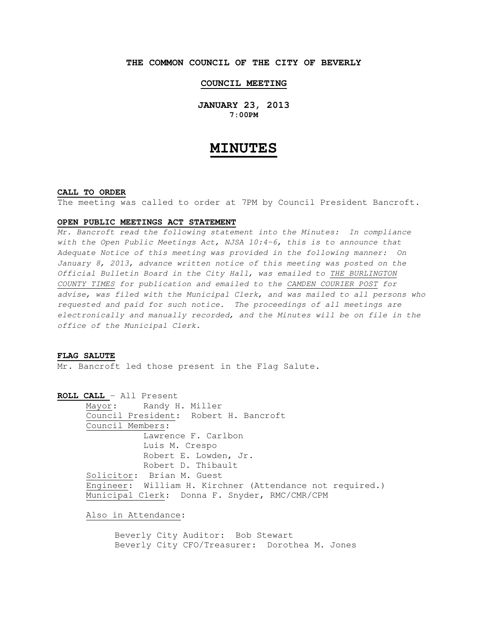# **THE COMMON COUNCIL OF THE CITY OF BEVERLY**

## **COUNCIL MEETING**

**JANUARY 23, 2013 7:00PM** 

# **MINUTES**

## **CALL TO ORDER**

The meeting was called to order at 7PM by Council President Bancroft.

#### **OPEN PUBLIC MEETINGS ACT STATEMENT**

Mr. Bancroft read the following statement into the Minutes: In compliance with the Open Public Meetings Act, NJSA 10:4-6, this is to announce that Adequate Notice of this meeting was provided in the following manner: On January 8, 2013, advance written notice of this meeting was posted on the Official Bulletin Board in the City Hall, was emailed to THE BURLINGTON COUNTY TIMES for publication and emailed to the CAMDEN COURIER POST for advise, was filed with the Municipal Clerk, and was mailed to all persons who requested and paid for such notice. The proceedings of all meetings are electronically and manually recorded, and the Minutes will be on file in the office of the Municipal Clerk.

#### **FLAG SALUTE**

Mr. Bancroft led those present in the Flag Salute.

**ROLL CALL** – All Present Mayor: Randy H. Miller Council President: Robert H. Bancroft Council Members: Lawrence F. Carlbon Luis M. Crespo Robert E. Lowden, Jr. Robert D. Thibault Solicitor: Brian M. Guest Engineer: William H. Kirchner (Attendance not required.) Municipal Clerk: Donna F. Snyder, RMC/CMR/CPM

Also in Attendance:

 Beverly City Auditor: Bob Stewart Beverly City CFO/Treasurer: Dorothea M. Jones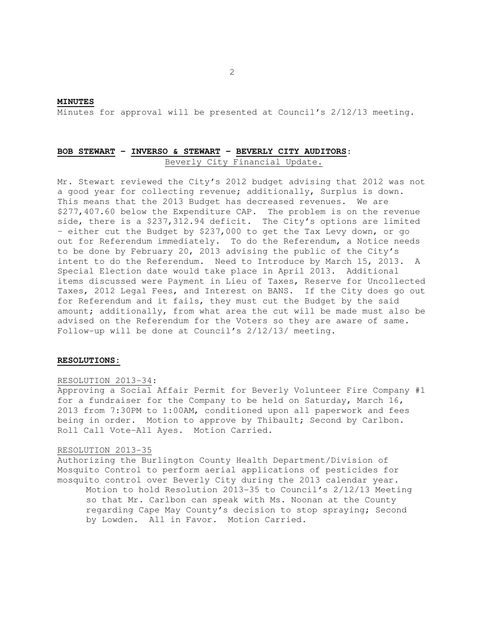#### **MINUTES**

Minutes for approval will be presented at Council's 2/12/13 meeting.

# **BOB STEWART – INVERSO & STEWART – BEVERLY CITY AUDITORS**: Beverly City Financial Update.

Mr. Stewart reviewed the City's 2012 budget advising that 2012 was not a good year for collecting revenue; additionally, Surplus is down. This means that the 2013 Budget has decreased revenues. We are \$277,407.60 below the Expenditure CAP. The problem is on the revenue side, there is a \$237,312.94 deficit. The City's options are limited – either cut the Budget by \$237,000 to get the Tax Levy down, or go out for Referendum immediately. To do the Referendum, a Notice needs to be done by February 20, 2013 advising the public of the City's intent to do the Referendum. Need to Introduce by March 15, 2013. A Special Election date would take place in April 2013. Additional items discussed were Payment in Lieu of Taxes, Reserve for Uncollected Taxes, 2012 Legal Fees, and Interest on BANS. If the City does go out for Referendum and it fails, they must cut the Budget by the said amount; additionally, from what area the cut will be made must also be advised on the Referendum for the Voters so they are aware of same. Follow-up will be done at Council's 2/12/13/ meeting.

## **RESOLUTIONS:**

#### RESOLUTION 2013-34:

Approving a Social Affair Permit for Beverly Volunteer Fire Company #1 for a fundraiser for the Company to be held on Saturday, March 16, 2013 from 7:30PM to 1:00AM, conditioned upon all paperwork and fees being in order. Motion to approve by Thibault; Second by Carlbon. Roll Call Vote-All Ayes. Motion Carried.

#### RESOLUTION 2013-35

Authorizing the Burlington County Health Department/Division of Mosquito Control to perform aerial applications of pesticides for mosquito control over Beverly City during the 2013 calendar year. Motion to hold Resolution 2013-35 to Council's 2/12/13 Meeting so that Mr. Carlbon can speak with Ms. Noonan at the County regarding Cape May County's decision to stop spraying; Second by Lowden. All in Favor. Motion Carried.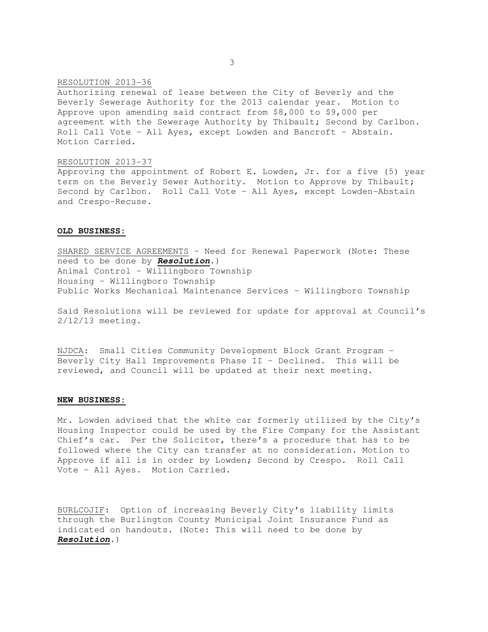### RESOLUTION 2013-36

Authorizing renewal of lease between the City of Beverly and the Beverly Sewerage Authority for the 2013 calendar year. Motion to Approve upon amending said contract from \$8,000 to \$9,000 per agreement with the Sewerage Authority by Thibault; Second by Carlbon. Roll Call Vote – All Ayes, except Lowden and Bancroft – Abstain. Motion Carried.

#### RESOLUTION 2013-37

Approving the appointment of Robert E. Lowden, Jr. for a five (5) year term on the Beverly Sewer Authority. Motion to Approve by Thibault; Second by Carlbon. Roll Call Vote – All Ayes, except Lowden-Abstain and Crespo-Recuse.

#### **OLD BUSINESS:**

SHARED SERVICE AGREEMENTS – Need for Renewal Paperwork (Note: These need to be done by **Resolution**.) Animal Control – Willingboro Township Housing – Willingboro Township Public Works Mechanical Maintenance Services – Willingboro Township

Said Resolutions will be reviewed for update for approval at Council's 2/12/13 meeting.

NJDCA: Small Cities Community Development Block Grant Program – Beverly City Hall Improvements Phase II – Declined. This will be reviewed, and Council will be updated at their next meeting.

#### **NEW BUSINESS:**

Mr. Lowden advised that the white car formerly utilized by the City's Housing Inspector could be used by the Fire Company for the Assistant Chief's car. Per the Solicitor, there's a procedure that has to be followed where the City can transfer at no consideration. Motion to Approve if all is in order by Lowden; Second by Crespo. Roll Call Vote – All Ayes. Motion Carried.

BURLCOJIF: Option of increasing Beverly City's liability limits through the Burlington County Municipal Joint Insurance Fund as indicated on handouts. (Note: This will need to be done by **Resolution**.)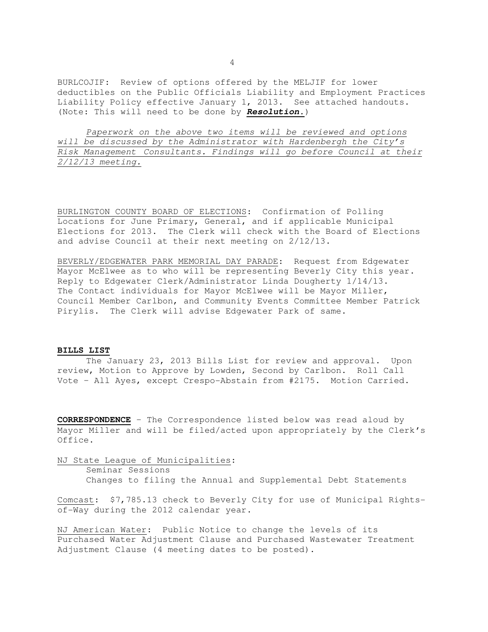BURLCOJIF: Review of options offered by the MELJIF for lower deductibles on the Public Officials Liability and Employment Practices Liability Policy effective January 1, 2013. See attached handouts. (Note: This will need to be done by **Resolution.**)

Paperwork on the above two items will be reviewed and options will be discussed by the Administrator with Hardenbergh the City's Risk Management Consultants. Findings will go before Council at their 2/12/13 meeting.

BURLINGTON COUNTY BOARD OF ELECTIONS: Confirmation of Polling Locations for June Primary, General, and if applicable Municipal Elections for 2013. The Clerk will check with the Board of Elections and advise Council at their next meeting on 2/12/13.

BEVERLY/EDGEWATER PARK MEMORIAL DAY PARADE: Request from Edgewater Mayor McElwee as to who will be representing Beverly City this year. Reply to Edgewater Clerk/Administrator Linda Dougherty 1/14/13. The Contact individuals for Mayor McElwee will be Mayor Miller, Council Member Carlbon, and Community Events Committee Member Patrick Pirylis. The Clerk will advise Edgewater Park of same.

## **BILLS LIST**

 The January 23, 2013 Bills List for review and approval. Upon review, Motion to Approve by Lowden, Second by Carlbon. Roll Call Vote – All Ayes, except Crespo-Abstain from #2175. Motion Carried.

**CORRESPONDENCE** – The Correspondence listed below was read aloud by Mayor Miller and will be filed/acted upon appropriately by the Clerk's Office.

NJ State League of Municipalities:

Seminar Sessions

Changes to filing the Annual and Supplemental Debt Statements

Comcast: \$7,785.13 check to Beverly City for use of Municipal Rightsof-Way during the 2012 calendar year.

NJ American Water: Public Notice to change the levels of its Purchased Water Adjustment Clause and Purchased Wastewater Treatment Adjustment Clause (4 meeting dates to be posted).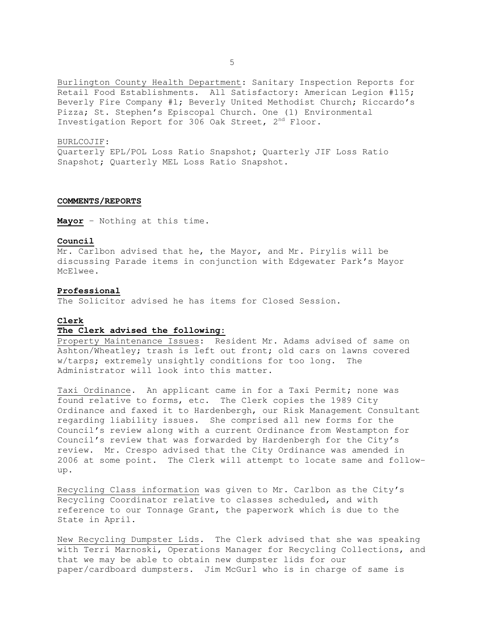Burlington County Health Department: Sanitary Inspection Reports for Retail Food Establishments. All Satisfactory: American Legion #115; Beverly Fire Company #1; Beverly United Methodist Church; Riccardo's Pizza; St. Stephen's Episcopal Church. One (1) Environmental Investigation Report for 306 Oak Street, 2<sup>nd</sup> Floor.

#### BURLCOJIF:

Quarterly EPL/POL Loss Ratio Snapshot; Quarterly JIF Loss Ratio Snapshot; Quarterly MEL Loss Ratio Snapshot.

## **COMMENTS/REPORTS**

**Mayor** – Nothing at this time.

## **Council**

Mr. Carlbon advised that he, the Mayor, and Mr. Pirylis will be discussing Parade items in conjunction with Edgewater Park's Mayor McElwee.

# **Professional**

The Solicitor advised he has items for Closed Session.

## **Clerk**

## **The Clerk advised the following:**

Property Maintenance Issues: Resident Mr. Adams advised of same on Ashton/Wheatley; trash is left out front; old cars on lawns covered w/tarps; extremely unsightly conditions for too long. The Administrator will look into this matter.

Taxi Ordinance. An applicant came in for a Taxi Permit; none was found relative to forms, etc. The Clerk copies the 1989 City Ordinance and faxed it to Hardenbergh, our Risk Management Consultant regarding liability issues. She comprised all new forms for the Council's review along with a current Ordinance from Westampton for Council's review that was forwarded by Hardenbergh for the City's review. Mr. Crespo advised that the City Ordinance was amended in 2006 at some point. The Clerk will attempt to locate same and followup.

Recycling Class information was given to Mr. Carlbon as the City's Recycling Coordinator relative to classes scheduled, and with reference to our Tonnage Grant, the paperwork which is due to the State in April.

New Recycling Dumpster Lids. The Clerk advised that she was speaking with Terri Marnoski, Operations Manager for Recycling Collections, and that we may be able to obtain new dumpster lids for our paper/cardboard dumpsters. Jim McGurl who is in charge of same is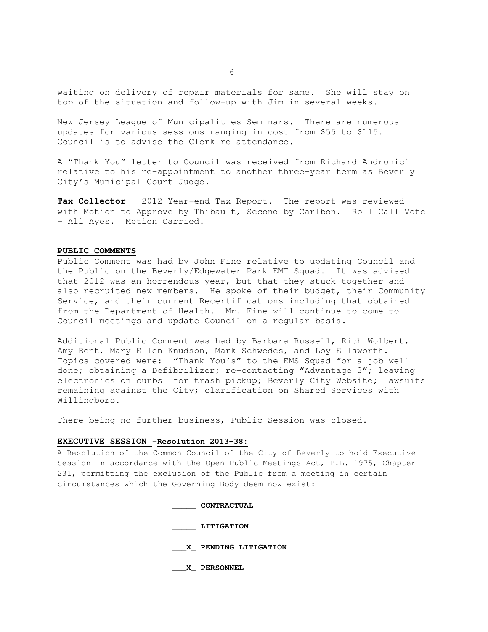waiting on delivery of repair materials for same. She will stay on top of the situation and follow-up with Jim in several weeks.

New Jersey League of Municipalities Seminars. There are numerous updates for various sessions ranging in cost from \$55 to \$115. Council is to advise the Clerk re attendance.

A "Thank You" letter to Council was received from Richard Andronici relative to his re-appointment to another three-year term as Beverly City's Municipal Court Judge.

**Tax Collector** – 2012 Year-end Tax Report. The report was reviewed with Motion to Approve by Thibault, Second by Carlbon. Roll Call Vote – All Ayes. Motion Carried.

## **PUBLIC COMMENTS**

Public Comment was had by John Fine relative to updating Council and the Public on the Beverly/Edgewater Park EMT Squad. It was advised that 2012 was an horrendous year, but that they stuck together and also recruited new members. He spoke of their budget, their Community Service, and their current Recertifications including that obtained from the Department of Health. Mr. Fine will continue to come to Council meetings and update Council on a regular basis.

Additional Public Comment was had by Barbara Russell, Rich Wolbert, Amy Bent, Mary Ellen Knudson, Mark Schwedes, and Loy Ellsworth. Topics covered were: "Thank You's" to the EMS Squad for a job well done; obtaining a Defibrilizer; re-contacting "Advantage 3"; leaving electronics on curbs for trash pickup; Beverly City Website; lawsuits remaining against the City; clarification on Shared Services with Willingboro.

There being no further business, Public Session was closed.

## **EXECUTIVE SESSION** –**Resolution 2013-38:**

A Resolution of the Common Council of the City of Beverly to hold Executive Session in accordance with the Open Public Meetings Act, P.L. 1975, Chapter 231, permitting the exclusion of the Public from a meeting in certain circumstances which the Governing Body deem now exist:

**\_\_\_\_\_ CONTRACTUAL** 

 **\_\_\_\_\_ LITIGATION** 

 **\_\_\_X\_ PENDING LITIGATION** 

 **\_\_\_X\_ PERSONNEL**